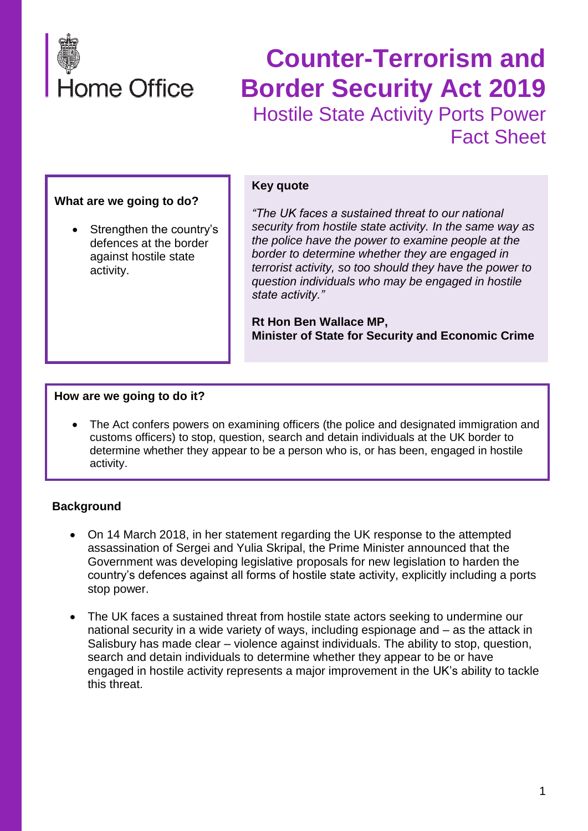

# **Counter-Terrorism and Border Security Act 2019** Hostile State Activity Ports Power Fact Sheet

#### **What are we going to do?**

Strengthen the country's defences at the border against hostile state activity.

#### **Key quote**

*"The UK faces a sustained threat to our national security from hostile state activity. In the same way as the police have the power to examine people at the border to determine whether they are engaged in terrorist activity, so too should they have the power to question individuals who may be engaged in hostile state activity."*

**Rt Hon Ben Wallace MP, Minister of State for Security and Economic Crime**

#### **How are we going to do it?**

The Act confers powers on examining officers (the police and designated immigration and customs officers) to stop, question, search and detain individuals at the UK border to determine whether they appear to be a person who is, or has been, engaged in hostile activity.

#### **Background**

- On 14 March 2018, in her statement regarding the UK response to the attempted assassination of Sergei and Yulia Skripal, the Prime Minister announced that the Government was developing legislative proposals for new legislation to harden the country's defences against all forms of hostile state activity, explicitly including a ports stop power.
- The UK faces a sustained threat from hostile state actors seeking to undermine our national security in a wide variety of ways, including espionage and – as the attack in Salisbury has made clear – violence against individuals. The ability to stop, question, search and detain individuals to determine whether they appear to be or have engaged in hostile activity represents a major improvement in the UK's ability to tackle this threat.